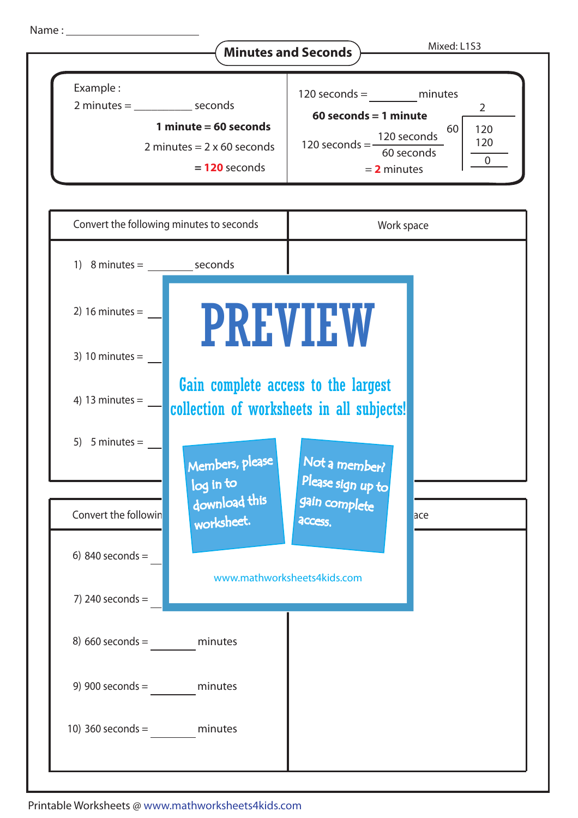

8) 660 seconds = minutes

9) 900 seconds = minutes

10) 360 seconds = minutes